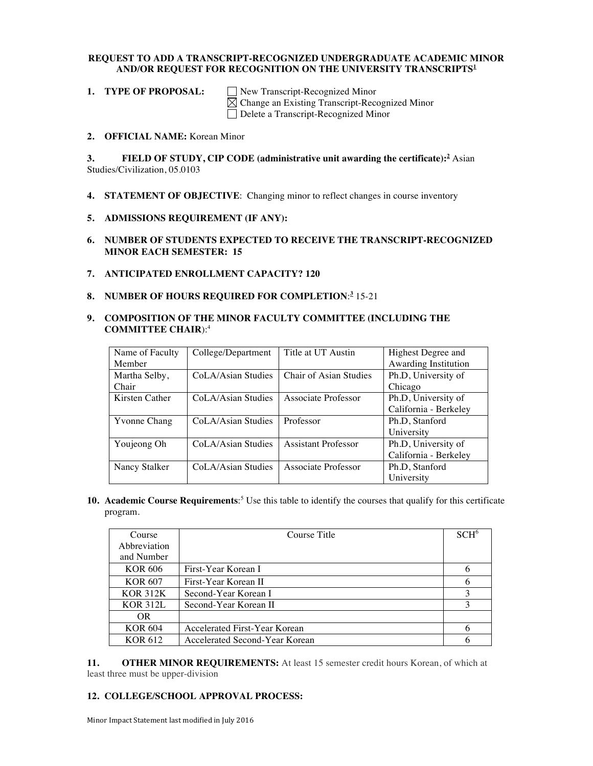### **REQUEST TO ADD A TRANSCRIPT-RECOGNIZED UNDERGRADUATE ACADEMIC MINOR AND/OR REQUEST FOR RECOGNITION ON THE UNIVERSITY TRANSCRIPTS<sup>1</sup>**

**1. TYPE OF PROPOSAL:** See Transcript-Recognized Minor  $\boxtimes$  Change an Existing Transcript-Recognized Minor Delete a Transcript-Recognized Minor

**2. OFFICIAL NAME:** Korean Minor

### **3. FIELD OF STUDY, CIP CODE (administrative unit awarding the certificate): <sup>2</sup>** Asian Studies/Civilization, 05.0103

**4. STATEMENT OF OBJECTIVE**: Changing minor to reflect changes in course inventory

## **5. ADMISSIONS REQUIREMENT (IF ANY):**

- **6. NUMBER OF STUDENTS EXPECTED TO RECEIVE THE TRANSCRIPT-RECOGNIZED MINOR EACH SEMESTER: 15**
- **7. ANTICIPATED ENROLLMENT CAPACITY? 120**
- **8. NUMBER OF HOURS REQUIRED FOR COMPLETION**: **<sup>3</sup>** 15-21

### **9. COMPOSITION OF THE MINOR FACULTY COMMITTEE (INCLUDING THE COMMITTEE CHAIR**):4

| Name of Faculty     | College/Department | Title at UT Austin         | Highest Degree and    |
|---------------------|--------------------|----------------------------|-----------------------|
| Member              |                    |                            | Awarding Institution  |
| Martha Selby,       | CoLA/Asian Studies | Chair of Asian Studies     | Ph.D, University of   |
| Chair               |                    |                            | Chicago               |
| Kirsten Cather      | CoLA/Asian Studies | Associate Professor        | Ph.D, University of   |
|                     |                    |                            | California - Berkeley |
| <b>Yvonne Chang</b> | CoLA/Asian Studies | Professor                  | Ph.D, Stanford        |
|                     |                    |                            | University            |
| Youjeong Oh         | CoLA/Asian Studies | <b>Assistant Professor</b> | Ph.D, University of   |
|                     |                    |                            | California - Berkeley |
| Nancy Stalker       | CoLA/Asian Studies | Associate Professor        | Ph.D. Stanford        |
|                     |                    |                            | University            |

**10. Academic Course Requirements**: <sup>5</sup> Use this table to identify the courses that qualify for this certificate program.

| Course          | Course Title                   | $SCH^6$ |
|-----------------|--------------------------------|---------|
| Abbreviation    |                                |         |
| and Number      |                                |         |
| KOR 606         | First-Year Korean I            | 6       |
| KOR 607         | First-Year Korean II           |         |
| <b>KOR 312K</b> | Second-Year Korean I           | 3       |
| <b>KOR 312L</b> | Second-Year Korean II          | 3       |
| <b>OR</b>       |                                |         |
| <b>KOR 604</b>  | Accelerated First-Year Korean  | 6       |
| <b>KOR 612</b>  | Accelerated Second-Year Korean |         |

**11. OTHER MINOR REQUIREMENTS:** At least 15 semester credit hours Korean, of which at least three must be upper-division

# **12. COLLEGE/SCHOOL APPROVAL PROCESS:**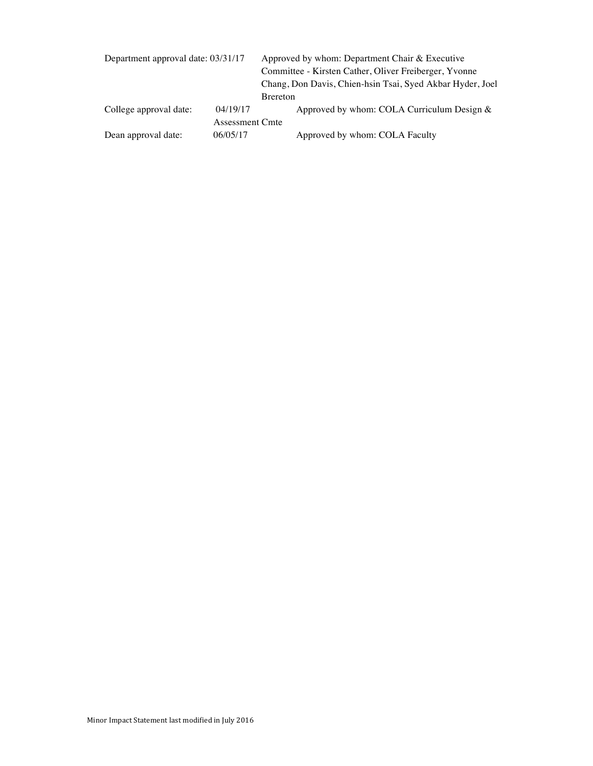| Department approval date: 03/31/17 |                                    | Approved by whom: Department Chair & Executive<br>Committee - Kirsten Cather, Oliver Freiberger, Yvonne<br>Chang, Don Davis, Chien-hsin Tsai, Syed Akbar Hyder, Joel<br><b>B</b> rereton |  |
|------------------------------------|------------------------------------|------------------------------------------------------------------------------------------------------------------------------------------------------------------------------------------|--|
| College approval date:             | 04/19/17                           | Approved by whom: COLA Curriculum Design $\&$                                                                                                                                            |  |
| Dean approval date:                | <b>Assessment Cmte</b><br>06/05/17 | Approved by whom: COLA Faculty                                                                                                                                                           |  |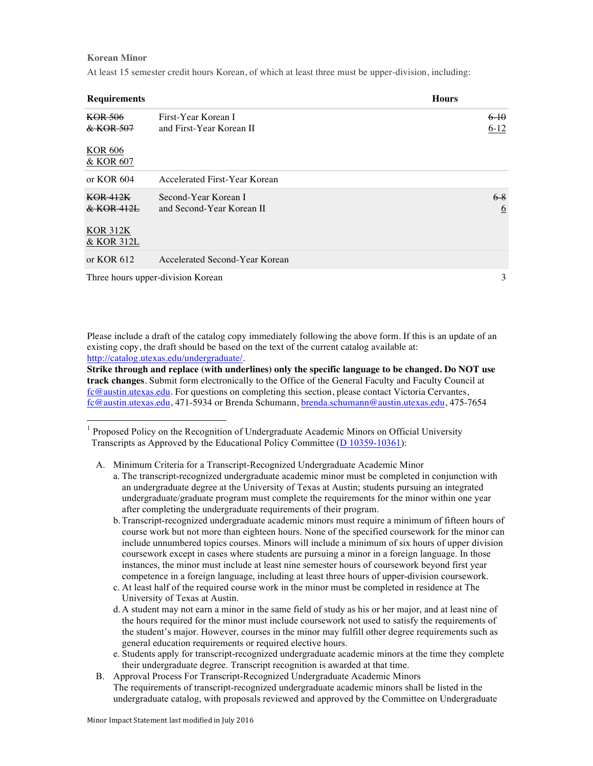#### **Korean Minor**

At least 15 semester credit hours Korean, of which at least three must be upper-division, including:

| <b>Requirements</b>           |                                                   | <b>Hours</b>             |
|-------------------------------|---------------------------------------------------|--------------------------|
| KOR 506<br>& KOR 507          | First-Year Korean I<br>and First-Year Korean II   | 6-10<br>$6-12$           |
| <b>KOR 606</b><br>& KOR 607   |                                                   |                          |
| or $KOR$ 604                  | Accelerated First-Year Korean                     |                          |
| KOR 412K<br>& KOR 412L        | Second-Year Korean I<br>and Second-Year Korean II | $6-8$<br>$6\overline{6}$ |
| <b>KOR 312K</b><br>& KOR 312L |                                                   |                          |
| or KOR $612$                  | Accelerated Second-Year Korean                    |                          |
|                               | Three hours upper-division Korean                 | 3                        |

Please include a draft of the catalog copy immediately following the above form. If this is an update of an existing copy, the draft should be based on the text of the current catalog available at: http://catalog.utexas.edu/undergraduate/.

**Strike through and replace (with underlines) only the specific language to be changed. Do NOT use track changes**. Submit form electronically to the Office of the General Faculty and Faculty Council at fc@austin.utexas.edu. For questions on completing this section, please contact Victoria Cervantes, fc@austin.utexas.edu, 471-5934 or Brenda Schumann, brenda.schumann@austin.utexas.edu, 475-7654

 $<sup>1</sup>$  Proposed Policy on the Recognition of Undergraduate Academic Minors on Official University</sup> Transcripts as Approved by the Educational Policy Committee (D 10359-10361):

A. Minimum Criteria for a Transcript-Recognized Undergraduate Academic Minor

- a. The transcript-recognized undergraduate academic minor must be completed in conjunction with an undergraduate degree at the University of Texas at Austin; students pursuing an integrated undergraduate/graduate program must complete the requirements for the minor within one year after completing the undergraduate requirements of their program.
- b. Transcript-recognized undergraduate academic minors must require a minimum of fifteen hours of course work but not more than eighteen hours. None of the specified coursework for the minor can include unnumbered topics courses. Minors will include a minimum of six hours of upper division coursework except in cases where students are pursuing a minor in a foreign language. In those instances, the minor must include at least nine semester hours of coursework beyond first year competence in a foreign language, including at least three hours of upper-division coursework.
- c. At least half of the required course work in the minor must be completed in residence at The University of Texas at Austin.
- d. A student may not earn a minor in the same field of study as his or her major, and at least nine of the hours required for the minor must include coursework not used to satisfy the requirements of the student's major. However, courses in the minor may fulfill other degree requirements such as general education requirements or required elective hours.
- e. Students apply for transcript-recognized undergraduate academic minors at the time they complete their undergraduate degree. Transcript recognition is awarded at that time.
- B. Approval Process For Transcript-Recognized Undergraduate Academic Minors The requirements of transcript-recognized undergraduate academic minors shall be listed in the undergraduate catalog, with proposals reviewed and approved by the Committee on Undergraduate